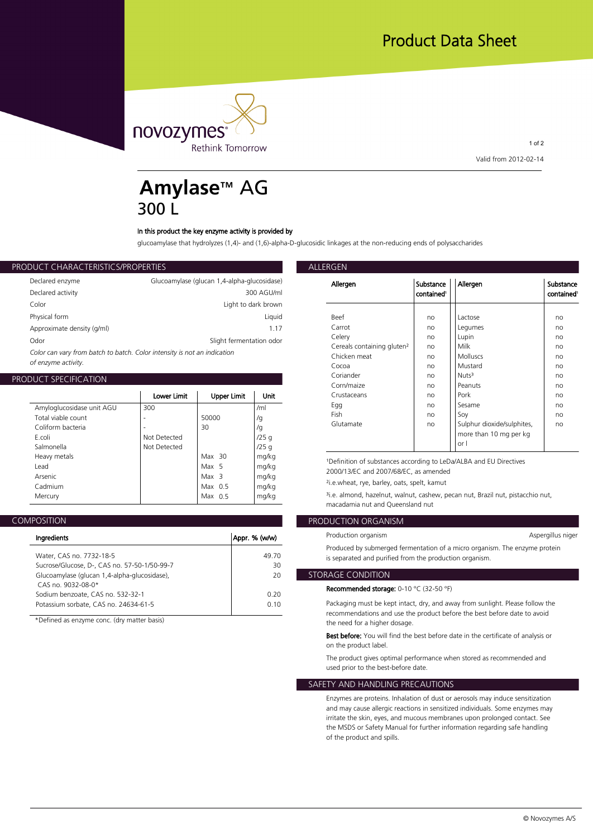

1 of 2 **Valid from 2012-02-14**

### **Amylase**™ AG 300 L

### **In this product the key enzyme activity is provided by**

**glucoamylase that hydrolyzes (1,4)- and (1,6)-alpha-D-glucosidic linkages at the non-reducing ends of polysaccharides**

### **PRODUCT CHARACTERISTICS/PROPERTIES**

| Allergen           | Glucoamylase (glucan 1,4-alpha-glucosidase) | Declared enzyme                                                          |
|--------------------|---------------------------------------------|--------------------------------------------------------------------------|
|                    | 300 AGU/ml                                  | Declared activity                                                        |
|                    | Light to dark brown                         | Color                                                                    |
| Beef               | Liauid                                      | Physical form                                                            |
| Carrot             | 1.17                                        | Approximate density (g/ml)                                               |
| Celerv             | Slight fermentation odor                    | Odor                                                                     |
| Cereals<br>Chichon |                                             | Color can vary from batch to batch. Color intensity is not an indication |

*of enzyme activity.*

### **PRODUCT SPECIFICATION**

|                           |              |                    |       | Corn/                 |
|---------------------------|--------------|--------------------|-------|-----------------------|
|                           | Lower Limit  | <b>Upper Limit</b> | Unit  | Crusta                |
| Amyloglucosidase unit AGU | 300          |                    | /ml   | Egg                   |
| Total viable count        |              | 50000              | /g    | Fish                  |
| Coliform bacteria         |              | 30                 | /g    | Gluta                 |
| E.coli                    | Not Detected |                    | /25q  |                       |
| Salmonella                | Not Detected |                    | /25q  |                       |
| Heavy metals              |              | $Max$ 30           | mg/kg | <sup>1</sup> Definit  |
| Lead                      |              | Max 5              | mg/kg | 2000/1                |
| Arsenic                   |              | Max <sub>3</sub>   | mg/kg |                       |
| Cadmium                   |              | Max $0.5$          | mg/kg | $2i.e.$ whe           |
| Mercury                   |              | Max $0.5$          | mg/kg | <sup>3</sup> i.e. alm |
|                           |              |                    |       |                       |

|--|

| Ingredients                                             | Appr. % (w/w) |
|---------------------------------------------------------|---------------|
| Water, CAS no. 7732-18-5                                | 49.70         |
| Sucrose/Glucose, D-, CAS no. 57-50-1/50-99-7            | 30            |
| Glucoamylase (glucan 1,4-alpha-glucosidase),            | 20            |
| CAS no. 9032-08-0*<br>Sodium benzoate, CAS no. 532-32-1 | 0.20          |
| Potassium sorbate, CAS no. 24634-61-5                   | 0.10          |
|                                                         |               |

**\*Defined as enzyme conc. (dry matter basis)**

| cosidase) |                                        |                                     |                            |                                     |
|-----------|----------------------------------------|-------------------------------------|----------------------------|-------------------------------------|
| AGU/ml    | Allergen                               | Substance<br>contained <sup>1</sup> | Allergen                   | Substance<br>contained <sup>1</sup> |
| k brown   |                                        |                                     |                            |                                     |
| Liquid    | Beef                                   | no                                  | Lactose                    | no                                  |
| 1.17      | Carrot                                 | no                                  | Legumes                    | no                                  |
| ion odor  | Celery                                 | no                                  | Lupin                      | no                                  |
|           | Cereals containing gluten <sup>2</sup> | no                                  | Milk                       | no                                  |
|           | Chicken meat                           | no                                  | <b>Molluscs</b>            | no                                  |
|           | Cocoa                                  | no                                  | Mustard                    | no                                  |
|           | Coriander                              | no                                  | Nuts <sup>3</sup>          | no                                  |
|           | Corn/maize                             | no                                  | Peanuts                    | no                                  |
| Unit      | Crustaceans                            | no                                  | Pork                       | no                                  |
| /ml       | Egg                                    | no                                  | Sesame                     | no                                  |
| /q        | Fish                                   | no                                  | Soy                        | no                                  |
| /g        | Glutamate                              | no                                  | Sulphur dioxide/sulphites, | no                                  |
| /25 g     |                                        |                                     | more than 10 mg per kg     |                                     |
| /25 g     |                                        |                                     | or I                       |                                     |

**mg/kg ¹Definition of substances according to LeDa/ALBA and EU Directives mg/kg 2000/13/EC and 2007/68/EC, as amended**

**mg/kg ²i.e.wheat, rye, barley, oats, spelt, kamut**

**mg/kg ³i.e. almond, hazelnut, walnut, cashew, pecan nut, Brazil nut, pistacchio nut, macadamia nut and Queensland nut**

### **PRODUCTION ORGANISM**

| n/w)        | Production organism                                                                                                                   | Aspergillus niger |
|-------------|---------------------------------------------------------------------------------------------------------------------------------------|-------------------|
| 49.70<br>30 | Produced by submerged fermentation of a micro organism. The enzyme protein<br>is separated and purified from the production organism. |                   |
| 20          | STORAGE CONDITION '                                                                                                                   |                   |

### **Recommended storage: 0-10 °C (32-50 °F)**

**0.10 Packaging must be kept intact, dry, and away from sunlight. Please follow the recommendations and use the product before the best before date to avoid the need for a higher dosage.**

> **Best before: You will find the best before date in the certificate of analysis or on the product label.**

**The product gives optimal performance when stored as recommended and used prior to the best-before date.**

### **SAFETY AND HANDLING PRECAUTIONS**

**Enzymes are proteins. Inhalation of dust or aerosols may induce sensitization and may cause allergic reactions in sensitized individuals. Some enzymes may irritate the skin, eyes, and mucous membranes upon prolonged contact. See the MSDS or Safety Manual for further information regarding safe handling of the product and spills.**